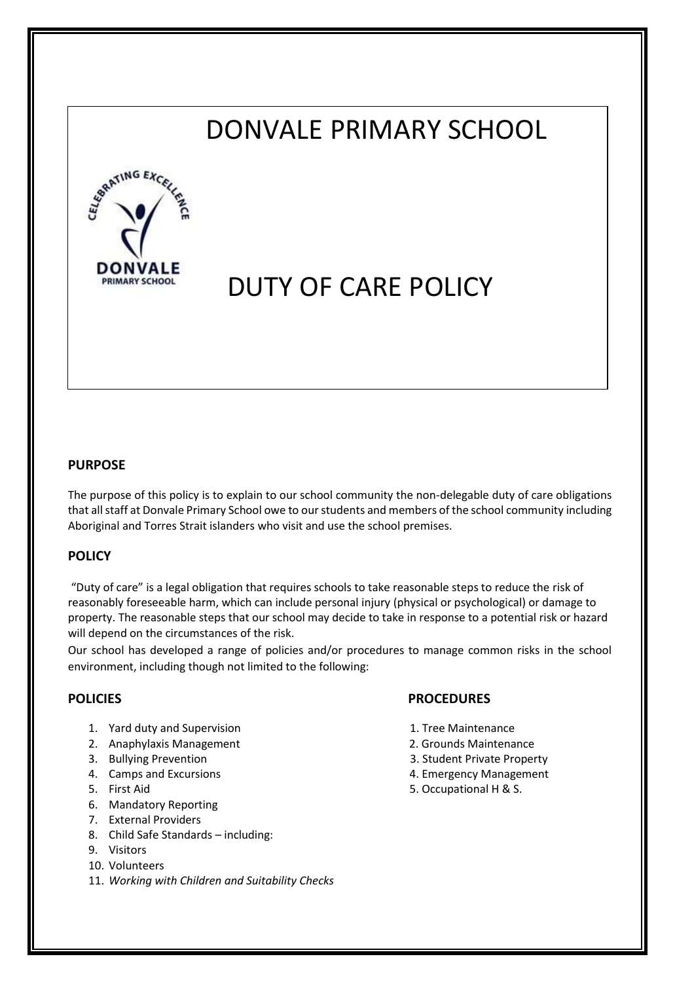## DONVALE PRIMARY SCHOOL



# DUTY OF CARE POLICY

### **PURPOSE**

The purpose of this policy is to explain to our school community the non-delegable duty of care obligations that all staff at Donvale Primary School owe to our students and members of the school community including Aboriginal and Torres Strait islanders who visit and use the school premises.

### **POLICY**

"Duty of care" is a legal obligation that requires schools to take reasonable steps to reduce the risk of reasonably foreseeable harm, which can include personal injury (physical or psychological) or damage to property. The reasonable steps that our school may decide to take in response to a potential risk or hazard will depend on the circumstances of the risk.

Our school has developed a range of policies and/or procedures to manage common risks in the school environment, including though not limited to the following:

- 1. Yard duty and Supervision **1. Tree Maintenance**
- 2. Anaphylaxis Management 2. Grounds Maintenance
- 
- 
- 
- 6. Mandatory Reporting
- 7. External Providers
- 8. Child Safe Standards including:
- 9. Visitors
- 10. Volunteers
- 11. *Working with Children and Suitability Checks*

### **POLICIES PROCEDURES**

- 
- 
- 3. Bullying Prevention 3. Student Private Property
- 4. Camps and Excursions **4. Camps and Excursions**
- 5. First Aid 5. Occupational H & S.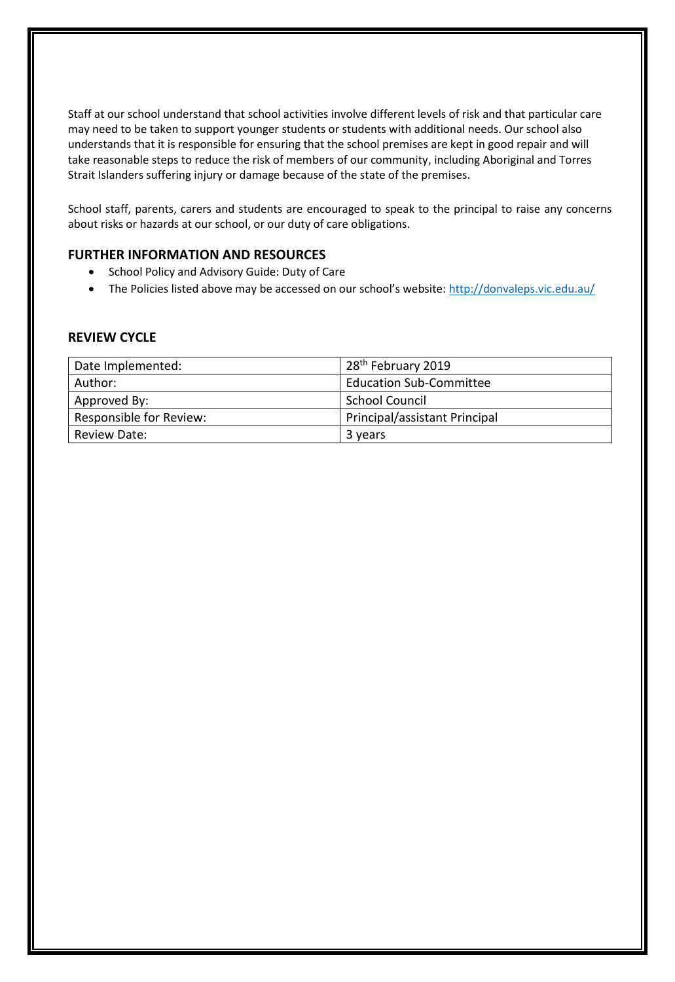Staff at our school understand that school activities involve different levels of risk and that particular care may need to be taken to support younger students or students with additional needs. Our school also understands that it is responsible for ensuring that the school premises are kept in good repair and will take reasonable steps to reduce the risk of members of our community, including Aboriginal and Torres Strait Islanders suffering injury or damage because of the state of the premises.

School staff, parents, carers and students are encouraged to speak to the principal to raise any concerns about risks or hazards at our school, or our duty of care obligations.

### **FURTHER INFORMATION AND RESOURCES**

- School Policy and Advisory Guide: Duty of Care
- The Policies listed above may be accessed on our school's website: <http://donvaleps.vic.edu.au/>

### **REVIEW CYCLE**

| Date Implemented:              | 28 <sup>th</sup> February 2019 |
|--------------------------------|--------------------------------|
| Author:                        | <b>Education Sub-Committee</b> |
| Approved By:                   | <b>School Council</b>          |
| <b>Responsible for Review:</b> | Principal/assistant Principal  |
| Review Date:                   | 3 years                        |